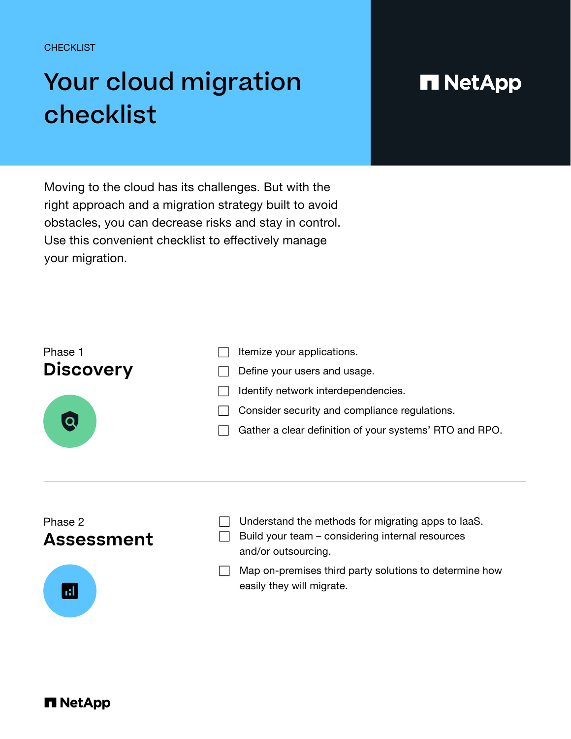**CHECKLIST** 

## Your cloud migration checklist

## **H** NetApp

Moving to the cloud has its challenges. But with the right approach and a migration strategy built to avoid obstacles, you can decrease risks and stay in control. Use this convenient checklist to effectively manage your migration.



and/or outsourcing.

## Phase 2 **Assessment**



 $\Box$  Understand the methods for migrating apps to laaS.  $\Box$  Build your team – considering internal resources

 $\Box$  Map on-premises third party solutions to determine how easily they will migrate.